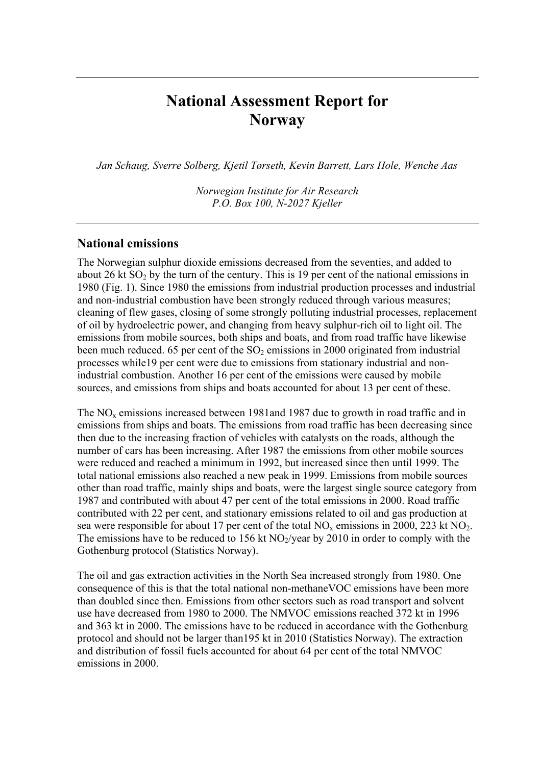# **National Assessment Report for Norway**

*Jan Schaug, Sverre Solberg, Kjetil Tørseth, Kevin Barrett, Lars Hole, Wenche Aas* 

*Norwegian Institute for Air Research P.O. Box 100, N-2027 Kjeller* 

#### **National emissions**

The Norwegian sulphur dioxide emissions decreased from the seventies, and added to about 26 kt  $SO<sub>2</sub>$  by the turn of the century. This is 19 per cent of the national emissions in 1980 (Fig. 1). Since 1980 the emissions from industrial production processes and industrial and non-industrial combustion have been strongly reduced through various measures; cleaning of flew gases, closing of some strongly polluting industrial processes, replacement of oil by hydroelectric power, and changing from heavy sulphur-rich oil to light oil. The emissions from mobile sources, both ships and boats, and from road traffic have likewise been much reduced. 65 per cent of the  $SO<sub>2</sub>$  emissions in 2000 originated from industrial processes while19 per cent were due to emissions from stationary industrial and nonindustrial combustion. Another 16 per cent of the emissions were caused by mobile sources, and emissions from ships and boats accounted for about 13 per cent of these.

The  $NO<sub>x</sub>$  emissions increased between 1981and 1987 due to growth in road traffic and in emissions from ships and boats. The emissions from road traffic has been decreasing since then due to the increasing fraction of vehicles with catalysts on the roads, although the number of cars has been increasing. After 1987 the emissions from other mobile sources were reduced and reached a minimum in 1992, but increased since then until 1999. The total national emissions also reached a new peak in 1999. Emissions from mobile sources other than road traffic, mainly ships and boats, were the largest single source category from 1987 and contributed with about 47 per cent of the total emissions in 2000. Road traffic contributed with 22 per cent, and stationary emissions related to oil and gas production at sea were responsible for about 17 per cent of the total  $NO<sub>x</sub>$  emissions in 2000, 223 kt  $NO<sub>2</sub>$ . The emissions have to be reduced to  $156$  kt NO<sub>2</sub>/year by 2010 in order to comply with the Gothenburg protocol (Statistics Norway).

The oil and gas extraction activities in the North Sea increased strongly from 1980. One consequence of this is that the total national non-methaneVOC emissions have been more than doubled since then. Emissions from other sectors such as road transport and solvent use have decreased from 1980 to 2000. The NMVOC emissions reached 372 kt in 1996 and 363 kt in 2000. The emissions have to be reduced in accordance with the Gothenburg protocol and should not be larger than195 kt in 2010 (Statistics Norway). The extraction and distribution of fossil fuels accounted for about 64 per cent of the total NMVOC emissions in 2000.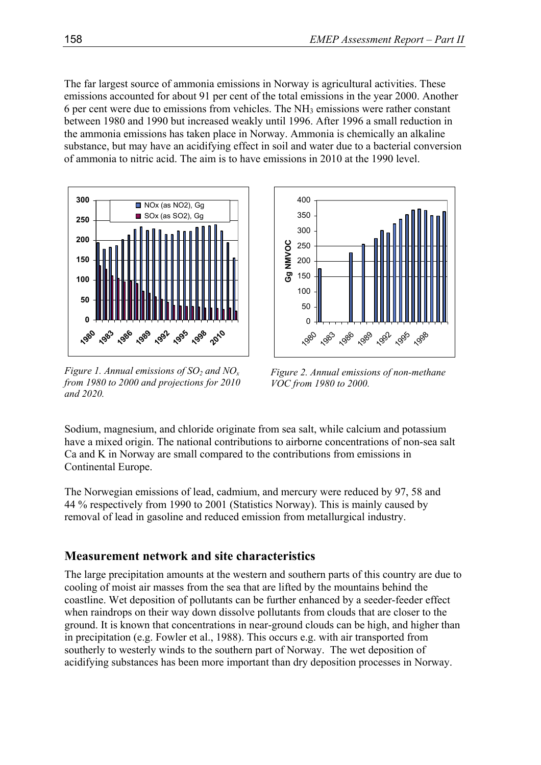The far largest source of ammonia emissions in Norway is agricultural activities. These emissions accounted for about 91 per cent of the total emissions in the year 2000. Another 6 per cent were due to emissions from vehicles. The  $NH<sub>3</sub>$  emissions were rather constant between 1980 and 1990 but increased weakly until 1996. After 1996 a small reduction in the ammonia emissions has taken place in Norway. Ammonia is chemically an alkaline substance, but may have an acidifying effect in soil and water due to a bacterial conversion of ammonia to nitric acid. The aim is to have emissions in 2010 at the 1990 level.



*Figure 1. Annual emissions of SO<sub>2</sub> and NO<sub>x</sub> from 1980 to 2000 and projections for 2010 and 2020.* 



*Figure 2. Annual emissions of non-methane VOC from 1980 to 2000.* 

Sodium, magnesium, and chloride originate from sea salt, while calcium and potassium have a mixed origin. The national contributions to airborne concentrations of non-sea salt Ca and K in Norway are small compared to the contributions from emissions in Continental Europe.

The Norwegian emissions of lead, cadmium, and mercury were reduced by 97, 58 and 44 % respectively from 1990 to 2001 (Statistics Norway). This is mainly caused by removal of lead in gasoline and reduced emission from metallurgical industry.

# **Measurement network and site characteristics**

The large precipitation amounts at the western and southern parts of this country are due to cooling of moist air masses from the sea that are lifted by the mountains behind the coastline. Wet deposition of pollutants can be further enhanced by a seeder-feeder effect when raindrops on their way down dissolve pollutants from clouds that are closer to the ground. It is known that concentrations in near-ground clouds can be high, and higher than in precipitation (e.g. Fowler et al., 1988). This occurs e.g. with air transported from southerly to westerly winds to the southern part of Norway. The wet deposition of acidifying substances has been more important than dry deposition processes in Norway.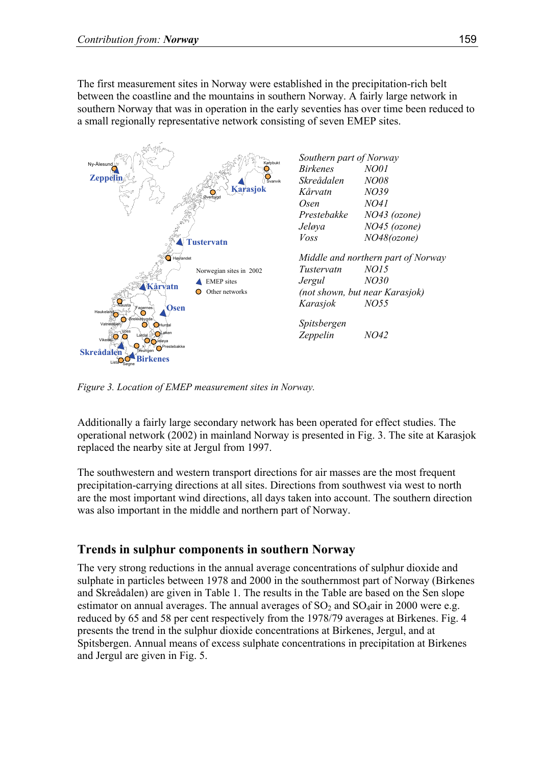The first measurement sites in Norway were established in the precipitation-rich belt between the coastline and the mountains in southern Norway. A fairly large network in southern Norway that was in operation in the early seventies has over time been reduced to a small regionally representative network consisting of seven EMEP sites.



*Figure 3. Location of EMEP measurement sites in Norway.* 

Additionally a fairly large secondary network has been operated for effect studies. The operational network (2002) in mainland Norway is presented in Fig. 3. The site at Karasjok replaced the nearby site at Jergul from 1997.

The southwestern and western transport directions for air masses are the most frequent precipitation-carrying directions at all sites. Directions from southwest via west to north are the most important wind directions, all days taken into account. The southern direction was also important in the middle and northern part of Norway.

# **Trends in sulphur components in southern Norway**

The very strong reductions in the annual average concentrations of sulphur dioxide and sulphate in particles between 1978 and 2000 in the southernmost part of Norway (Birkenes and Skreådalen) are given in Table 1. The results in the Table are based on the Sen slope estimator on annual averages. The annual averages of  $SO_2$  and  $SO_4$ air in 2000 were e.g. reduced by 65 and 58 per cent respectively from the 1978/79 averages at Birkenes. Fig. 4 presents the trend in the sulphur dioxide concentrations at Birkenes, Jergul, and at Spitsbergen. Annual means of excess sulphate concentrations in precipitation at Birkenes and Jergul are given in Fig. 5.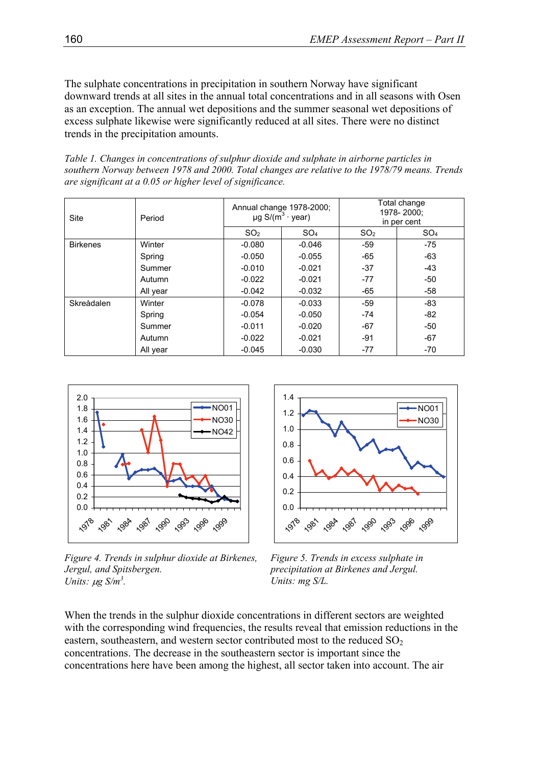The sulphate concentrations in precipitation in southern Norway have significant downward trends at all sites in the annual total concentrations and in all seasons with Osen as an exception. The annual wet depositions and the summer seasonal wet depositions of excess sulphate likewise were significantly reduced at all sites. There were no distinct trends in the precipitation amounts.

*Table 1. Changes in concentrations of sulphur dioxide and sulphate in airborne particles in southern Norway between 1978 and 2000. Total changes are relative to the 1978/79 means. Trends are significant at a 0.05 or higher level of significance.* 

| Site            | Period   | Annual change 1978-2000;<br>$\mu$ g S/(m <sup>3</sup> · year) |                 | Total change<br>1978-2000;<br>in per cent |                 |
|-----------------|----------|---------------------------------------------------------------|-----------------|-------------------------------------------|-----------------|
|                 |          | SO <sub>2</sub>                                               | SO <sub>4</sub> | SO <sub>2</sub>                           | SO <sub>4</sub> |
| <b>Birkenes</b> | Winter   | $-0.080$                                                      | $-0.046$        | $-59$                                     | -75             |
|                 | Spring   | $-0.050$                                                      | $-0.055$        | -65                                       | -63             |
|                 | Summer   | $-0.010$                                                      | $-0.021$        | $-37$                                     | $-43$           |
|                 | Autumn   | $-0.022$                                                      | $-0.021$        | $-77$                                     | -50             |
|                 | All year | $-0.042$                                                      | $-0.032$        | -65                                       | -58             |
| Skreådalen      | Winter   | $-0.078$                                                      | $-0.033$        | $-59$                                     | $-83$           |
|                 | Spring   | $-0.054$                                                      | $-0.050$        | $-74$                                     | -82             |
|                 | Summer   | $-0.011$                                                      | $-0.020$        | $-67$                                     | -50             |
|                 | Autumn   | $-0.022$                                                      | $-0.021$        | $-91$                                     | $-67$           |
|                 | All year | $-0.045$                                                      | $-0.030$        | -77                                       | $-70$           |



*Figure 4. Trends in sulphur dioxide at Birkenes, Jergul, and Spitsbergen. Units:*  $\mu$ g *S*/ $m^3$ .



*Figure 5. Trends in excess sulphate in precipitation at Birkenes and Jergul. Units: mg S/L.* 

When the trends in the sulphur dioxide concentrations in different sectors are weighted with the corresponding wind frequencies, the results reveal that emission reductions in the eastern, southeastern, and western sector contributed most to the reduced  $SO<sub>2</sub>$ concentrations. The decrease in the southeastern sector is important since the concentrations here have been among the highest, all sector taken into account. The air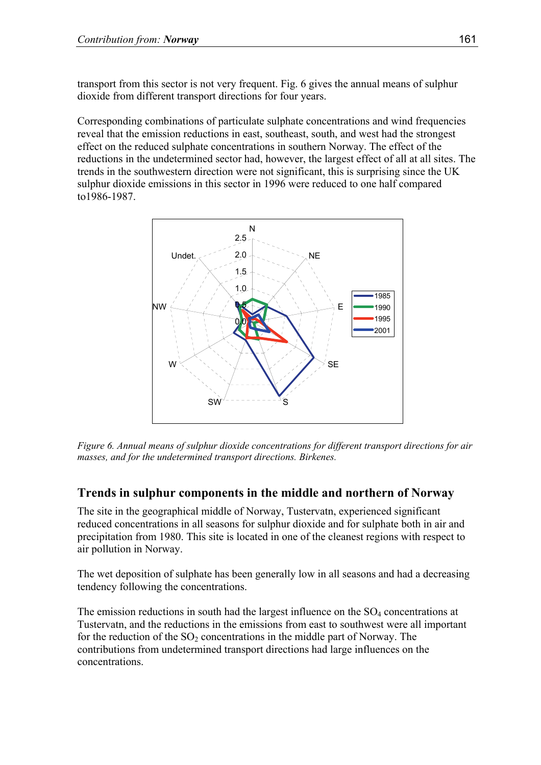transport from this sector is not very frequent. Fig. 6 gives the annual means of sulphur dioxide from different transport directions for four years.

Corresponding combinations of particulate sulphate concentrations and wind frequencies reveal that the emission reductions in east, southeast, south, and west had the strongest effect on the reduced sulphate concentrations in southern Norway. The effect of the reductions in the undetermined sector had, however, the largest effect of all at all sites. The trends in the southwestern direction were not significant, this is surprising since the UK sulphur dioxide emissions in this sector in 1996 were reduced to one half compared to1986-1987.



*Figure 6. Annual means of sulphur dioxide concentrations for different transport directions for air masses, and for the undetermined transport directions. Birkenes.* 

### **Trends in sulphur components in the middle and northern of Norway**

The site in the geographical middle of Norway, Tustervatn, experienced significant reduced concentrations in all seasons for sulphur dioxide and for sulphate both in air and precipitation from 1980. This site is located in one of the cleanest regions with respect to air pollution in Norway.

The wet deposition of sulphate has been generally low in all seasons and had a decreasing tendency following the concentrations.

The emission reductions in south had the largest influence on the  $SO<sub>4</sub>$  concentrations at Tustervatn, and the reductions in the emissions from east to southwest were all important for the reduction of the  $SO_2$  concentrations in the middle part of Norway. The contributions from undetermined transport directions had large influences on the concentrations.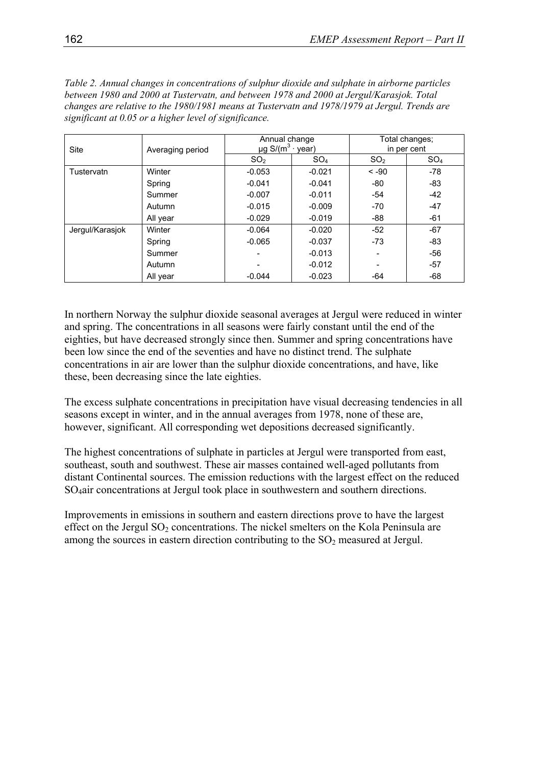*Table 2. Annual changes in concentrations of sulphur dioxide and sulphate in airborne particles between 1980 and 2000 at Tustervatn, and between 1978 and 2000 at Jergul/Karasjok. Total changes are relative to the 1980/1981 means at Tustervatn and 1978/1979 at Jergul. Trends are significant at 0.05 or a higher level of significance.* 

| <b>Site</b>     | Averaging period | Annual change<br>$\mu$ g S/(m <sup>3</sup> · year) |                 | Total changes;  |                 |
|-----------------|------------------|----------------------------------------------------|-----------------|-----------------|-----------------|
|                 |                  |                                                    |                 | in per cent     |                 |
|                 |                  | SO <sub>2</sub>                                    | SO <sub>4</sub> | SO <sub>2</sub> | SO <sub>4</sub> |
| Tustervatn      | Winter           | $-0.053$                                           | $-0.021$        | $-90$           | -78             |
|                 | Spring           | $-0.041$                                           | $-0.041$        | -80             | -83             |
|                 | Summer           | $-0.007$                                           | $-0.011$        | -54             | $-42$           |
|                 | Autumn           | $-0.015$                                           | $-0.009$        | $-70$           | $-47$           |
|                 | All year         | $-0.029$                                           | $-0.019$        | -88             | -61             |
| Jergul/Karasjok | Winter           | $-0.064$                                           | $-0.020$        | $-52$           | $-67$           |
|                 | Spring           | $-0.065$                                           | $-0.037$        | $-73$           | -83             |
|                 | Summer           |                                                    | $-0.013$        |                 | -56             |
|                 | Autumn           |                                                    | $-0.012$        |                 | -57             |
|                 | All year         | $-0.044$                                           | $-0.023$        | -64             | -68             |

In northern Norway the sulphur dioxide seasonal averages at Jergul were reduced in winter and spring. The concentrations in all seasons were fairly constant until the end of the eighties, but have decreased strongly since then. Summer and spring concentrations have been low since the end of the seventies and have no distinct trend. The sulphate concentrations in air are lower than the sulphur dioxide concentrations, and have, like these, been decreasing since the late eighties.

The excess sulphate concentrations in precipitation have visual decreasing tendencies in all seasons except in winter, and in the annual averages from 1978, none of these are, however, significant. All corresponding wet depositions decreased significantly.

The highest concentrations of sulphate in particles at Jergul were transported from east, southeast, south and southwest. These air masses contained well-aged pollutants from distant Continental sources. The emission reductions with the largest effect on the reduced SO4air concentrations at Jergul took place in southwestern and southern directions.

Improvements in emissions in southern and eastern directions prove to have the largest effect on the Jergul  $SO_2$  concentrations. The nickel smelters on the Kola Peninsula are among the sources in eastern direction contributing to the  $SO<sub>2</sub>$  measured at Jergul.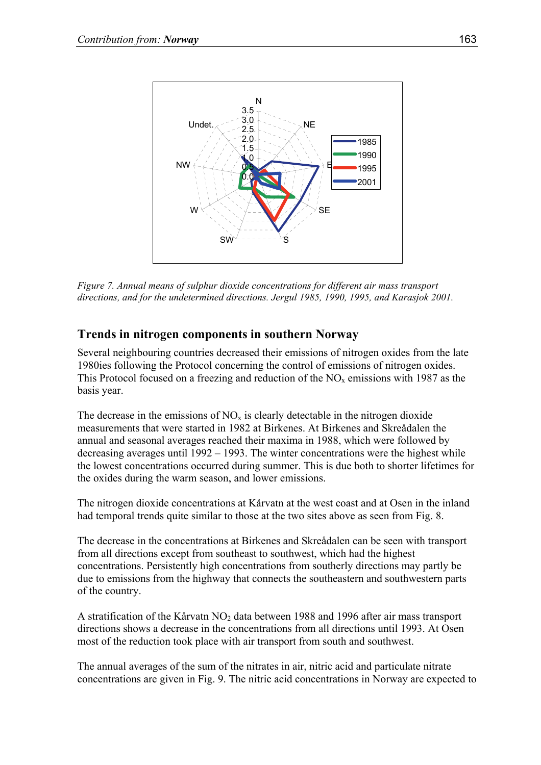

*Figure 7. Annual means of sulphur dioxide concentrations for different air mass transport directions, and for the undetermined directions. Jergul 1985, 1990, 1995, and Karasjok 2001.* 

# **Trends in nitrogen components in southern Norway**

Several neighbouring countries decreased their emissions of nitrogen oxides from the late 1980ies following the Protocol concerning the control of emissions of nitrogen oxides. This Protocol focused on a freezing and reduction of the  $NO<sub>x</sub>$  emissions with 1987 as the basis year.

The decrease in the emissions of  $NO<sub>x</sub>$  is clearly detectable in the nitrogen dioxide measurements that were started in 1982 at Birkenes. At Birkenes and Skreådalen the annual and seasonal averages reached their maxima in 1988, which were followed by decreasing averages until 1992 – 1993. The winter concentrations were the highest while the lowest concentrations occurred during summer. This is due both to shorter lifetimes for the oxides during the warm season, and lower emissions.

The nitrogen dioxide concentrations at Kårvatn at the west coast and at Osen in the inland had temporal trends quite similar to those at the two sites above as seen from Fig. 8.

The decrease in the concentrations at Birkenes and Skreådalen can be seen with transport from all directions except from southeast to southwest, which had the highest concentrations. Persistently high concentrations from southerly directions may partly be due to emissions from the highway that connects the southeastern and southwestern parts of the country.

A stratification of the Kårvatn  $NO<sub>2</sub>$  data between 1988 and 1996 after air mass transport directions shows a decrease in the concentrations from all directions until 1993. At Osen most of the reduction took place with air transport from south and southwest.

The annual averages of the sum of the nitrates in air, nitric acid and particulate nitrate concentrations are given in Fig. 9. The nitric acid concentrations in Norway are expected to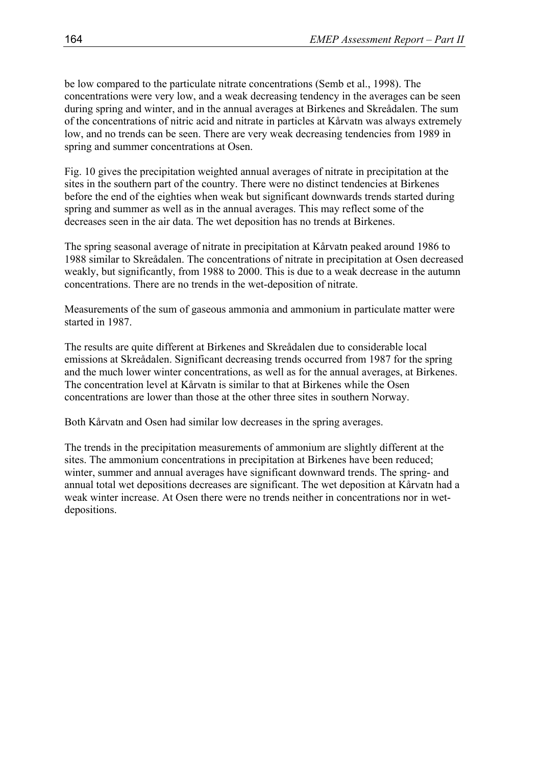be low compared to the particulate nitrate concentrations (Semb et al., 1998). The concentrations were very low, and a weak decreasing tendency in the averages can be seen during spring and winter, and in the annual averages at Birkenes and Skreådalen. The sum of the concentrations of nitric acid and nitrate in particles at Kårvatn was always extremely low, and no trends can be seen. There are very weak decreasing tendencies from 1989 in spring and summer concentrations at Osen.

Fig. 10 gives the precipitation weighted annual averages of nitrate in precipitation at the sites in the southern part of the country. There were no distinct tendencies at Birkenes before the end of the eighties when weak but significant downwards trends started during spring and summer as well as in the annual averages. This may reflect some of the decreases seen in the air data. The wet deposition has no trends at Birkenes.

The spring seasonal average of nitrate in precipitation at Kårvatn peaked around 1986 to 1988 similar to Skreådalen. The concentrations of nitrate in precipitation at Osen decreased weakly, but significantly, from 1988 to 2000. This is due to a weak decrease in the autumn concentrations. There are no trends in the wet-deposition of nitrate.

Measurements of the sum of gaseous ammonia and ammonium in particulate matter were started in 1987.

The results are quite different at Birkenes and Skreådalen due to considerable local emissions at Skreådalen. Significant decreasing trends occurred from 1987 for the spring and the much lower winter concentrations, as well as for the annual averages, at Birkenes. The concentration level at Kårvatn is similar to that at Birkenes while the Osen concentrations are lower than those at the other three sites in southern Norway.

Both Kårvatn and Osen had similar low decreases in the spring averages.

The trends in the precipitation measurements of ammonium are slightly different at the sites. The ammonium concentrations in precipitation at Birkenes have been reduced; winter, summer and annual averages have significant downward trends. The spring- and annual total wet depositions decreases are significant. The wet deposition at Kårvatn had a weak winter increase. At Osen there were no trends neither in concentrations nor in wetdepositions.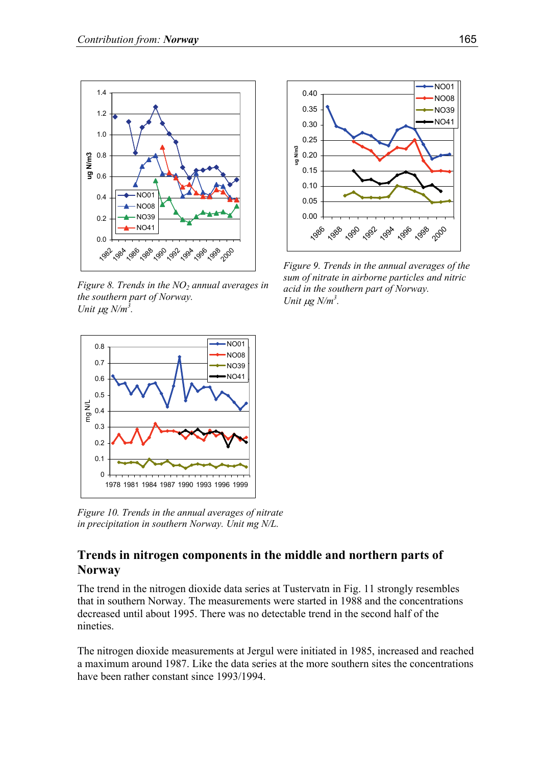

*Figure 8. Trends in the NO<sub>2</sub> annual averages in the southern part of Norway. Unit*  $\mu$ *g N/m<sup>3</sup>*.



*Figure 9. Trends in the annual averages of the sum of nitrate in airborne particles and nitric acid in the southern part of Norway. Unit*  $\mu$ *g N/m<sup>3</sup>.* 



*Figure 10. Trends in the annual averages of nitrate in precipitation in southern Norway. Unit mg N/L.* 

### **Trends in nitrogen components in the middle and northern parts of Norway**

The trend in the nitrogen dioxide data series at Tustervatn in Fig. 11 strongly resembles that in southern Norway. The measurements were started in 1988 and the concentrations decreased until about 1995. There was no detectable trend in the second half of the nineties.

The nitrogen dioxide measurements at Jergul were initiated in 1985, increased and reached a maximum around 1987. Like the data series at the more southern sites the concentrations have been rather constant since 1993/1994.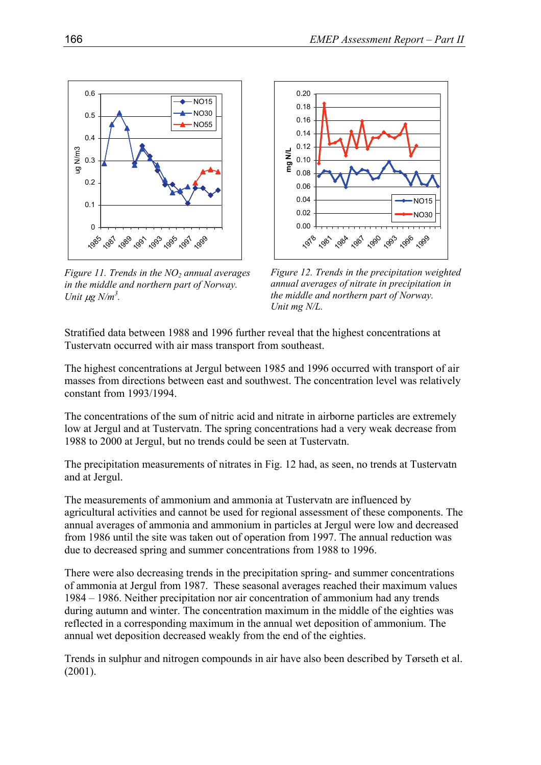

*Figure 11. Trends in the NO<sub>2</sub> annual averages in the middle and northern part of Norway. Unit*  $\mu$ *g N/m<sup>3</sup>.* 



*Figure 12. Trends in the precipitation weighted annual averages of nitrate in precipitation in the middle and northern part of Norway. Unit mg N/L.*

Stratified data between 1988 and 1996 further reveal that the highest concentrations at Tustervatn occurred with air mass transport from southeast.

The highest concentrations at Jergul between 1985 and 1996 occurred with transport of air masses from directions between east and southwest. The concentration level was relatively constant from 1993/1994.

The concentrations of the sum of nitric acid and nitrate in airborne particles are extremely low at Jergul and at Tustervatn. The spring concentrations had a very weak decrease from 1988 to 2000 at Jergul, but no trends could be seen at Tustervatn.

The precipitation measurements of nitrates in Fig. 12 had, as seen, no trends at Tustervatn and at Jergul.

The measurements of ammonium and ammonia at Tustervatn are influenced by agricultural activities and cannot be used for regional assessment of these components. The annual averages of ammonia and ammonium in particles at Jergul were low and decreased from 1986 until the site was taken out of operation from 1997. The annual reduction was due to decreased spring and summer concentrations from 1988 to 1996.

There were also decreasing trends in the precipitation spring- and summer concentrations of ammonia at Jergul from 1987. These seasonal averages reached their maximum values 1984 – 1986. Neither precipitation nor air concentration of ammonium had any trends during autumn and winter. The concentration maximum in the middle of the eighties was reflected in a corresponding maximum in the annual wet deposition of ammonium. The annual wet deposition decreased weakly from the end of the eighties.

Trends in sulphur and nitrogen compounds in air have also been described by Tørseth et al. (2001).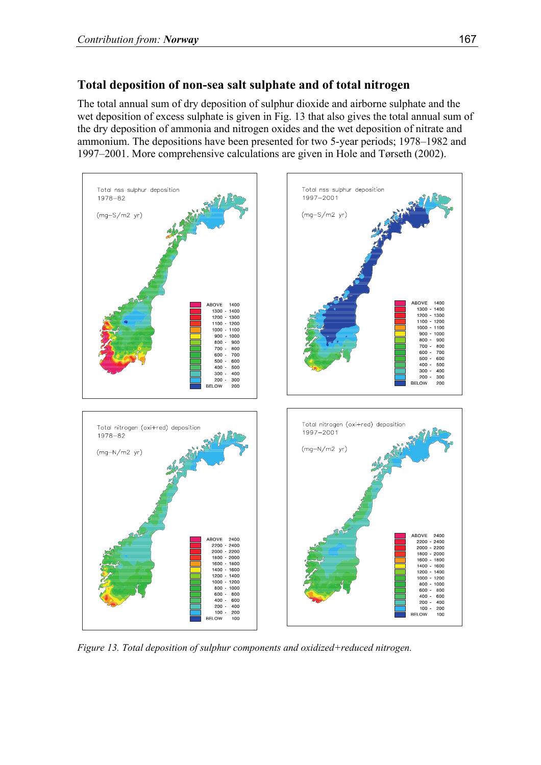# **Total deposition of non-sea salt sulphate and of total nitrogen**

The total annual sum of dry deposition of sulphur dioxide and airborne sulphate and the wet deposition of excess sulphate is given in Fig. 13 that also gives the total annual sum of the dry deposition of ammonia and nitrogen oxides and the wet deposition of nitrate and ammonium. The depositions have been presented for two 5-year periods; 1978–1982 and 1997–2001. More comprehensive calculations are given in Hole and Tørseth (2002).



*Figure 13. Total deposition of sulphur components and oxidized+reduced nitrogen.*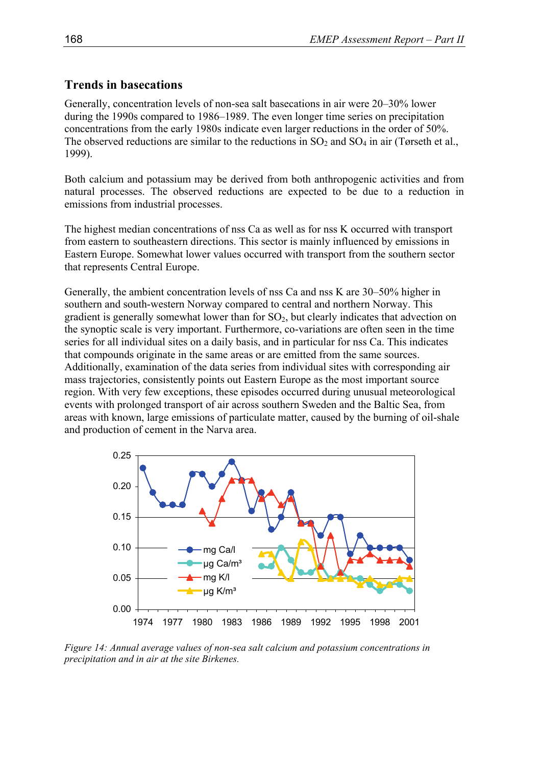#### **Trends in basecations**

Generally, concentration levels of non-sea salt basecations in air were 20–30% lower during the 1990s compared to 1986–1989. The even longer time series on precipitation concentrations from the early 1980s indicate even larger reductions in the order of 50%. The observed reductions are similar to the reductions in  $SO_2$  and  $SO_4$  in air (Tørseth et al., 1999).

Both calcium and potassium may be derived from both anthropogenic activities and from natural processes. The observed reductions are expected to be due to a reduction in emissions from industrial processes.

The highest median concentrations of nss Ca as well as for nss K occurred with transport from eastern to southeastern directions. This sector is mainly influenced by emissions in Eastern Europe. Somewhat lower values occurred with transport from the southern sector that represents Central Europe.

Generally, the ambient concentration levels of nss Ca and nss K are 30–50% higher in southern and south-western Norway compared to central and northern Norway. This gradient is generally somewhat lower than for  $SO<sub>2</sub>$ , but clearly indicates that advection on the synoptic scale is very important. Furthermore, co-variations are often seen in the time series for all individual sites on a daily basis, and in particular for nss Ca. This indicates that compounds originate in the same areas or are emitted from the same sources. Additionally, examination of the data series from individual sites with corresponding air mass trajectories, consistently points out Eastern Europe as the most important source region. With very few exceptions, these episodes occurred during unusual meteorological events with prolonged transport of air across southern Sweden and the Baltic Sea, from areas with known, large emissions of particulate matter, caused by the burning of oil-shale and production of cement in the Narva area.



*Figure 14: Annual average values of non-sea salt calcium and potassium concentrations in precipitation and in air at the site Birkenes.*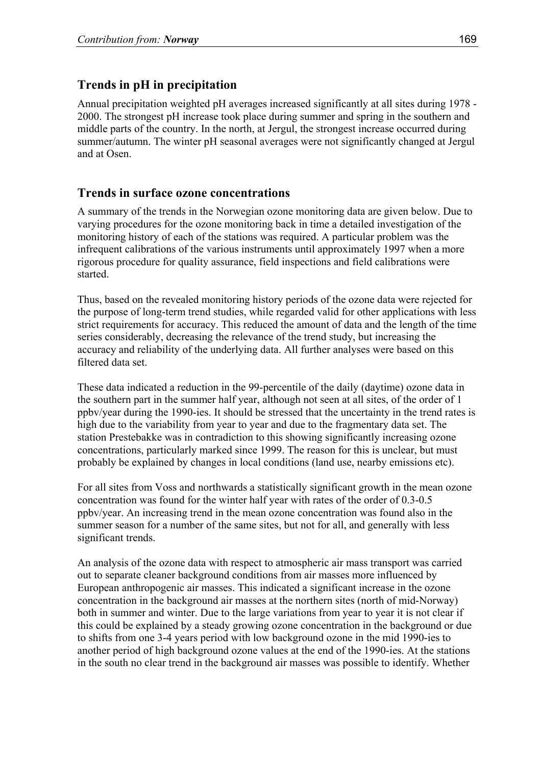## **Trends in pH in precipitation**

Annual precipitation weighted pH averages increased significantly at all sites during 1978 - 2000. The strongest pH increase took place during summer and spring in the southern and middle parts of the country. In the north, at Jergul, the strongest increase occurred during summer/autumn. The winter pH seasonal averages were not significantly changed at Jergul and at Osen.

## **Trends in surface ozone concentrations**

A summary of the trends in the Norwegian ozone monitoring data are given below. Due to varying procedures for the ozone monitoring back in time a detailed investigation of the monitoring history of each of the stations was required. A particular problem was the infrequent calibrations of the various instruments until approximately 1997 when a more rigorous procedure for quality assurance, field inspections and field calibrations were started.

Thus, based on the revealed monitoring history periods of the ozone data were rejected for the purpose of long-term trend studies, while regarded valid for other applications with less strict requirements for accuracy. This reduced the amount of data and the length of the time series considerably, decreasing the relevance of the trend study, but increasing the accuracy and reliability of the underlying data. All further analyses were based on this filtered data set.

These data indicated a reduction in the 99-percentile of the daily (daytime) ozone data in the southern part in the summer half year, although not seen at all sites, of the order of 1 ppbv/year during the 1990-ies. It should be stressed that the uncertainty in the trend rates is high due to the variability from year to year and due to the fragmentary data set. The station Prestebakke was in contradiction to this showing significantly increasing ozone concentrations, particularly marked since 1999. The reason for this is unclear, but must probably be explained by changes in local conditions (land use, nearby emissions etc).

For all sites from Voss and northwards a statistically significant growth in the mean ozone concentration was found for the winter half year with rates of the order of 0.3-0.5 ppbv/year. An increasing trend in the mean ozone concentration was found also in the summer season for a number of the same sites, but not for all, and generally with less significant trends.

An analysis of the ozone data with respect to atmospheric air mass transport was carried out to separate cleaner background conditions from air masses more influenced by European anthropogenic air masses. This indicated a significant increase in the ozone concentration in the background air masses at the northern sites (north of mid-Norway) both in summer and winter. Due to the large variations from year to year it is not clear if this could be explained by a steady growing ozone concentration in the background or due to shifts from one 3-4 years period with low background ozone in the mid 1990-ies to another period of high background ozone values at the end of the 1990-ies. At the stations in the south no clear trend in the background air masses was possible to identify. Whether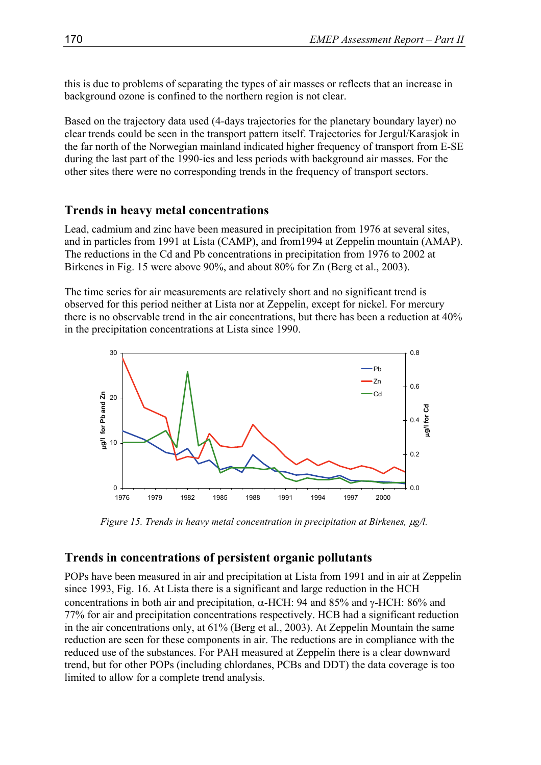this is due to problems of separating the types of air masses or reflects that an increase in background ozone is confined to the northern region is not clear.

Based on the trajectory data used (4-days trajectories for the planetary boundary layer) no clear trends could be seen in the transport pattern itself. Trajectories for Jergul/Karasjok in the far north of the Norwegian mainland indicated higher frequency of transport from E-SE during the last part of the 1990-ies and less periods with background air masses. For the other sites there were no corresponding trends in the frequency of transport sectors.

#### **Trends in heavy metal concentrations**

Lead, cadmium and zinc have been measured in precipitation from 1976 at several sites, and in particles from 1991 at Lista (CAMP), and from1994 at Zeppelin mountain (AMAP). The reductions in the Cd and Pb concentrations in precipitation from 1976 to 2002 at Birkenes in Fig. 15 were above 90%, and about 80% for Zn (Berg et al., 2003).

The time series for air measurements are relatively short and no significant trend is observed for this period neither at Lista nor at Zeppelin, except for nickel. For mercury there is no observable trend in the air concentrations, but there has been a reduction at 40% in the precipitation concentrations at Lista since 1990.



*Figure 15. Trends in heavy metal concentration in precipitation at Birkenes,*  $\mu$ *g/l.* 

### **Trends in concentrations of persistent organic pollutants**

POPs have been measured in air and precipitation at Lista from 1991 and in air at Zeppelin since 1993, Fig. 16. At Lista there is a significant and large reduction in the HCH concentrations in both air and precipitation, α-HCH: 94 and 85% and γ-HCH: 86% and 77% for air and precipitation concentrations respectively. HCB had a significant reduction in the air concentrations only, at 61% (Berg et al., 2003). At Zeppelin Mountain the same reduction are seen for these components in air. The reductions are in compliance with the reduced use of the substances. For PAH measured at Zeppelin there is a clear downward trend, but for other POPs (including chlordanes, PCBs and DDT) the data coverage is too limited to allow for a complete trend analysis.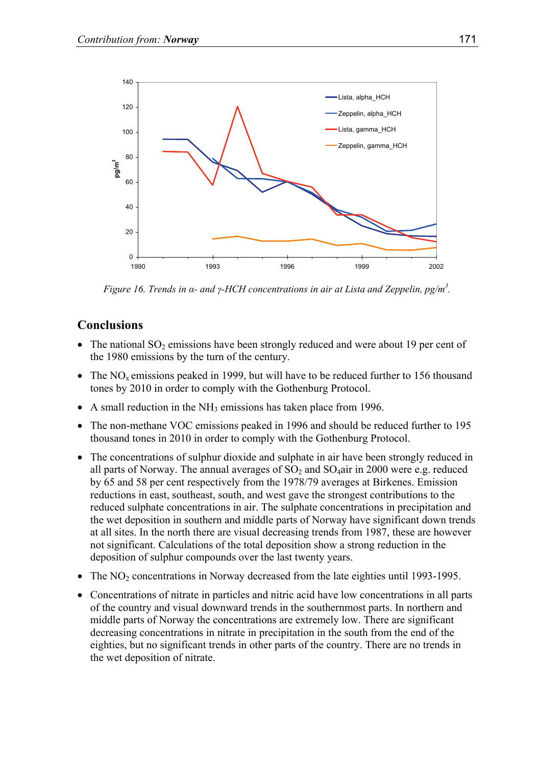

*Figure 16. Trends in α- and γ-HCH concentrations in air at Lista and Zeppelin, pg/m<sup>3</sup>.* 

### **Conclusions**

- The national  $SO_2$  emissions have been strongly reduced and were about 19 per cent of the 1980 emissions by the turn of the century.
- The  $NO<sub>x</sub>$  emissions peaked in 1999, but will have to be reduced further to 156 thousand tones by 2010 in order to comply with the Gothenburg Protocol.
- A small reduction in the  $NH<sub>3</sub>$  emissions has taken place from 1996.
- The non-methane VOC emissions peaked in 1996 and should be reduced further to 195 thousand tones in 2010 in order to comply with the Gothenburg Protocol.
- The concentrations of sulphur dioxide and sulphate in air have been strongly reduced in all parts of Norway. The annual averages of  $SO_2$  and  $SO_4$ air in 2000 were e.g. reduced by 65 and 58 per cent respectively from the 1978/79 averages at Birkenes. Emission reductions in east, southeast, south, and west gave the strongest contributions to the reduced sulphate concentrations in air. The sulphate concentrations in precipitation and the wet deposition in southern and middle parts of Norway have significant down trends at all sites. In the north there are visual decreasing trends from 1987, these are however not significant. Calculations of the total deposition show a strong reduction in the deposition of sulphur compounds over the last twenty years.
- The  $NO<sub>2</sub>$  concentrations in Norway decreased from the late eighties until 1993-1995.
- Concentrations of nitrate in particles and nitric acid have low concentrations in all parts of the country and visual downward trends in the southernmost parts. In northern and middle parts of Norway the concentrations are extremely low. There are significant decreasing concentrations in nitrate in precipitation in the south from the end of the eighties, but no significant trends in other parts of the country. There are no trends in the wet deposition of nitrate.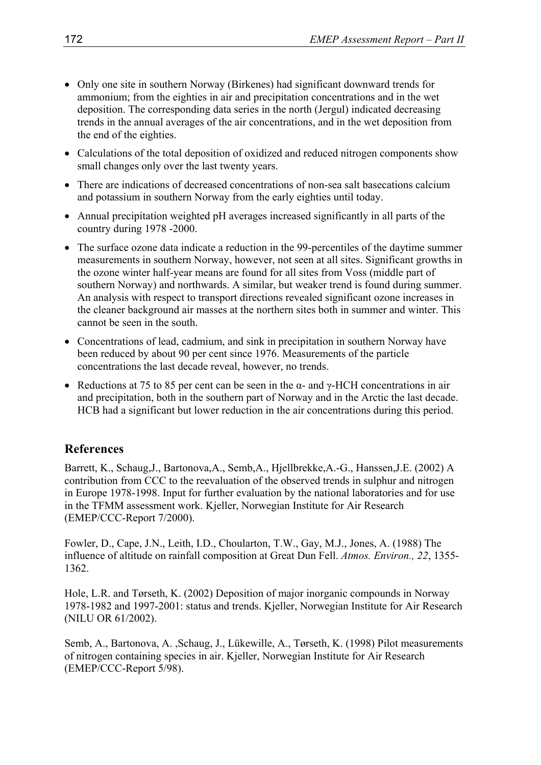- Only one site in southern Norway (Birkenes) had significant downward trends for ammonium; from the eighties in air and precipitation concentrations and in the wet deposition. The corresponding data series in the north (Jergul) indicated decreasing trends in the annual averages of the air concentrations, and in the wet deposition from the end of the eighties.
- Calculations of the total deposition of oxidized and reduced nitrogen components show small changes only over the last twenty years.
- There are indications of decreased concentrations of non-sea salt basecations calcium and potassium in southern Norway from the early eighties until today.
- Annual precipitation weighted pH averages increased significantly in all parts of the country during 1978 -2000.
- The surface ozone data indicate a reduction in the 99-percentiles of the daytime summer measurements in southern Norway, however, not seen at all sites. Significant growths in the ozone winter half-year means are found for all sites from Voss (middle part of southern Norway) and northwards. A similar, but weaker trend is found during summer. An analysis with respect to transport directions revealed significant ozone increases in the cleaner background air masses at the northern sites both in summer and winter. This cannot be seen in the south.
- Concentrations of lead, cadmium, and sink in precipitation in southern Norway have been reduced by about 90 per cent since 1976. Measurements of the particle concentrations the last decade reveal, however, no trends.
- Reductions at 75 to 85 per cent can be seen in the  $\alpha$  and  $\gamma$ -HCH concentrations in air and precipitation, both in the southern part of Norway and in the Arctic the last decade. HCB had a significant but lower reduction in the air concentrations during this period.

# **References**

Barrett, K., Schaug,J., Bartonova,A., Semb,A., Hjellbrekke,A.-G., Hanssen,J.E. (2002) A contribution from CCC to the reevaluation of the observed trends in sulphur and nitrogen in Europe 1978-1998. Input for further evaluation by the national laboratories and for use in the TFMM assessment work. Kjeller, Norwegian Institute for Air Research (EMEP/CCC-Report 7/2000).

Fowler, D., Cape, J.N., Leith, I.D., Choularton, T.W., Gay, M.J., Jones, A. (1988) The influence of altitude on rainfall composition at Great Dun Fell. *Atmos. Environ., 22*, 1355- 1362.

Hole, L.R. and Tørseth, K. (2002) Deposition of major inorganic compounds in Norway 1978-1982 and 1997-2001: status and trends. Kjeller, Norwegian Institute for Air Research (NILU OR 61/2002).

Semb, A., Bartonova, A. ,Schaug, J., Lükewille, A., Tørseth, K. (1998) Pilot measurements of nitrogen containing species in air. Kjeller, Norwegian Institute for Air Research (EMEP/CCC-Report 5/98).